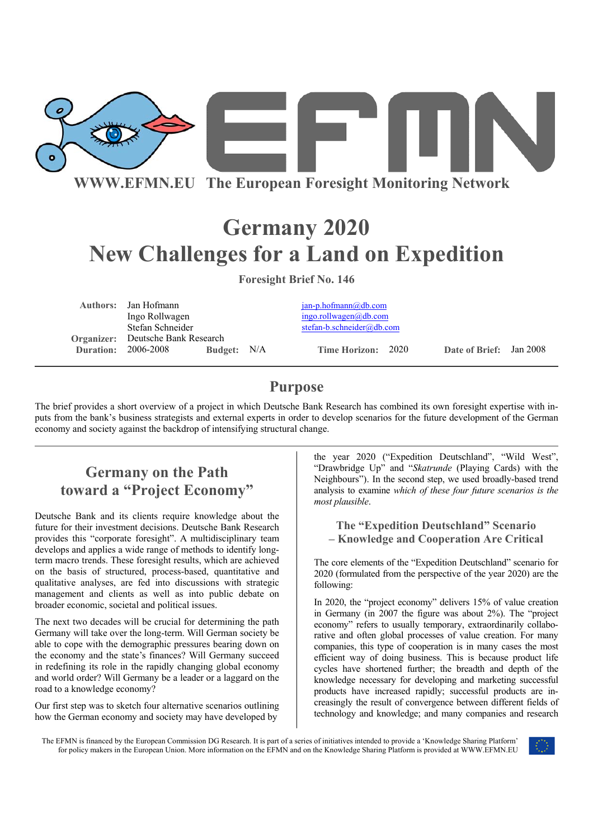

**WWW.EFMN.EU The European Foresight Monitoring Network**

# **Germany 2020 New Challenges for a Land on Expedition**

**Foresight Brief No. 146** 

|                            | <b>Authors:</b> Jan Hofmann              |             |  | $jan-p.hofmann@db.com$    |  |                         |  |
|----------------------------|------------------------------------------|-------------|--|---------------------------|--|-------------------------|--|
|                            | Ingo Rollwagen                           |             |  | ingo. rollwagen@db.com    |  |                         |  |
|                            | Stefan Schneider                         |             |  | stefan-b.schneider@db.com |  |                         |  |
|                            | <b>Organizer:</b> Deutsche Bank Research |             |  |                           |  |                         |  |
| <b>Duration: 2006-2008</b> |                                          | Budget: N/A |  | Time Horizon: 2020        |  | Date of Brief: Jan 2008 |  |
|                            |                                          |             |  |                           |  |                         |  |

## **Purpose**

The brief provides a short overview of a project in which Deutsche Bank Research has combined its own foresight expertise with inputs from the bank's business strategists and external experts in order to develop scenarios for the future development of the German economy and society against the backdrop of intensifying structural change.

# **Germany on the Path toward a "Project Economy"**

Deutsche Bank and its clients require knowledge about the future for their investment decisions. Deutsche Bank Research provides this "corporate foresight". A multidisciplinary team develops and applies a wide range of methods to identify longterm macro trends. These foresight results, which are achieved on the basis of structured, process-based, quantitative and qualitative analyses, are fed into discussions with strategic management and clients as well as into public debate on broader economic, societal and political issues.

The next two decades will be crucial for determining the path Germany will take over the long-term. Will German society be able to cope with the demographic pressures bearing down on the economy and the state's finances? Will Germany succeed in redefining its role in the rapidly changing global economy and world order? Will Germany be a leader or a laggard on the road to a knowledge economy?

Our first step was to sketch four alternative scenarios outlining how the German economy and society may have developed by

the year 2020 ("Expedition Deutschland", "Wild West", "Drawbridge Up" and "*Skatrunde* (Playing Cards) with the Neighbours"). In the second step, we used broadly-based trend analysis to examine *which of these four future scenarios is the most plausible*.

### **The "Expedition Deutschland" Scenario – Knowledge and Cooperation Are Critical**

The core elements of the "Expedition Deutschland" scenario for 2020 (formulated from the perspective of the year 2020) are the following:

In 2020, the "project economy" delivers 15% of value creation in Germany (in 2007 the figure was about 2%). The "project economy" refers to usually temporary, extraordinarily collaborative and often global processes of value creation. For many companies, this type of cooperation is in many cases the most efficient way of doing business. This is because product life cycles have shortened further; the breadth and depth of the knowledge necessary for developing and marketing successful products have increased rapidly; successful products are increasingly the result of convergence between different fields of technology and knowledge; and many companies and research

The EFMN is financed by the European Commission DG Research. It is part of a series of initiatives intended to provide a 'Knowledge Sharing Platform' for policy makers in the European Union. More information on the EFMN and on the Knowledge Sharing Platform is provided at WWW.EFMN.EU

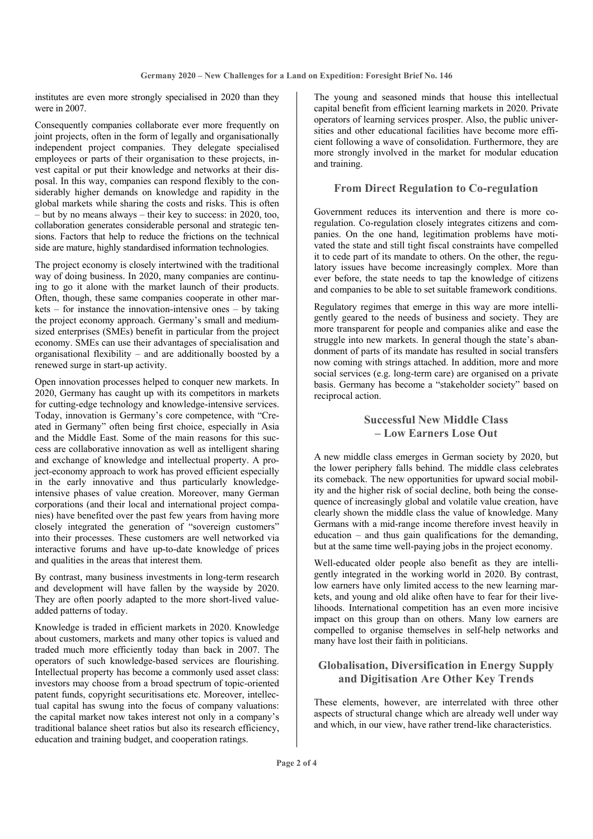institutes are even more strongly specialised in 2020 than they were in 2007.

Consequently companies collaborate ever more frequently on joint projects, often in the form of legally and organisationally independent project companies. They delegate specialised employees or parts of their organisation to these projects, invest capital or put their knowledge and networks at their disposal. In this way, companies can respond flexibly to the considerably higher demands on knowledge and rapidity in the global markets while sharing the costs and risks. This is often – but by no means always – their key to success: in 2020, too, collaboration generates considerable personal and strategic tensions. Factors that help to reduce the frictions on the technical side are mature, highly standardised information technologies.

The project economy is closely intertwined with the traditional way of doing business. In 2020, many companies are continuing to go it alone with the market launch of their products. Often, though, these same companies cooperate in other markets – for instance the innovation-intensive ones – by taking the project economy approach. Germany's small and mediumsized enterprises (SMEs) benefit in particular from the project economy. SMEs can use their advantages of specialisation and organisational flexibility – and are additionally boosted by a renewed surge in start-up activity.

Open innovation processes helped to conquer new markets. In 2020, Germany has caught up with its competitors in markets for cutting-edge technology and knowledge-intensive services. Today, innovation is Germany's core competence, with "Created in Germany" often being first choice, especially in Asia and the Middle East. Some of the main reasons for this success are collaborative innovation as well as intelligent sharing and exchange of knowledge and intellectual property. A project-economy approach to work has proved efficient especially in the early innovative and thus particularly knowledgeintensive phases of value creation. Moreover, many German corporations (and their local and international project companies) have benefited over the past few years from having more closely integrated the generation of "sovereign customers" into their processes. These customers are well networked via interactive forums and have up-to-date knowledge of prices and qualities in the areas that interest them.

By contrast, many business investments in long-term research and development will have fallen by the wayside by 2020. They are often poorly adapted to the more short-lived valueadded patterns of today.

Knowledge is traded in efficient markets in 2020. Knowledge about customers, markets and many other topics is valued and traded much more efficiently today than back in 2007. The operators of such knowledge-based services are flourishing. Intellectual property has become a commonly used asset class: investors may choose from a broad spectrum of topic-oriented patent funds, copyright securitisations etc. Moreover, intellectual capital has swung into the focus of company valuations: the capital market now takes interest not only in a company's traditional balance sheet ratios but also its research efficiency, education and training budget, and cooperation ratings.

The young and seasoned minds that house this intellectual capital benefit from efficient learning markets in 2020. Private operators of learning services prosper. Also, the public universities and other educational facilities have become more efficient following a wave of consolidation. Furthermore, they are more strongly involved in the market for modular education and training.

#### **From Direct Regulation to Co-regulation**

Government reduces its intervention and there is more coregulation. Co-regulation closely integrates citizens and companies. On the one hand, legitimation problems have motivated the state and still tight fiscal constraints have compelled it to cede part of its mandate to others. On the other, the regulatory issues have become increasingly complex. More than ever before, the state needs to tap the knowledge of citizens and companies to be able to set suitable framework conditions.

Regulatory regimes that emerge in this way are more intelligently geared to the needs of business and society. They are more transparent for people and companies alike and ease the struggle into new markets. In general though the state's abandonment of parts of its mandate has resulted in social transfers now coming with strings attached. In addition, more and more social services (e.g. long-term care) are organised on a private basis. Germany has become a "stakeholder society" based on reciprocal action.

### **Successful New Middle Class – Low Earners Lose Out**

A new middle class emerges in German society by 2020, but the lower periphery falls behind. The middle class celebrates its comeback. The new opportunities for upward social mobility and the higher risk of social decline, both being the consequence of increasingly global and volatile value creation, have clearly shown the middle class the value of knowledge. Many Germans with a mid-range income therefore invest heavily in education – and thus gain qualifications for the demanding, but at the same time well-paying jobs in the project economy.

Well-educated older people also benefit as they are intelligently integrated in the working world in 2020. By contrast, low earners have only limited access to the new learning markets, and young and old alike often have to fear for their livelihoods. International competition has an even more incisive impact on this group than on others. Many low earners are compelled to organise themselves in self-help networks and many have lost their faith in politicians.

### **Globalisation, Diversification in Energy Supply and Digitisation Are Other Key Trends**

These elements, however, are interrelated with three other aspects of structural change which are already well under way and which, in our view, have rather trend-like characteristics.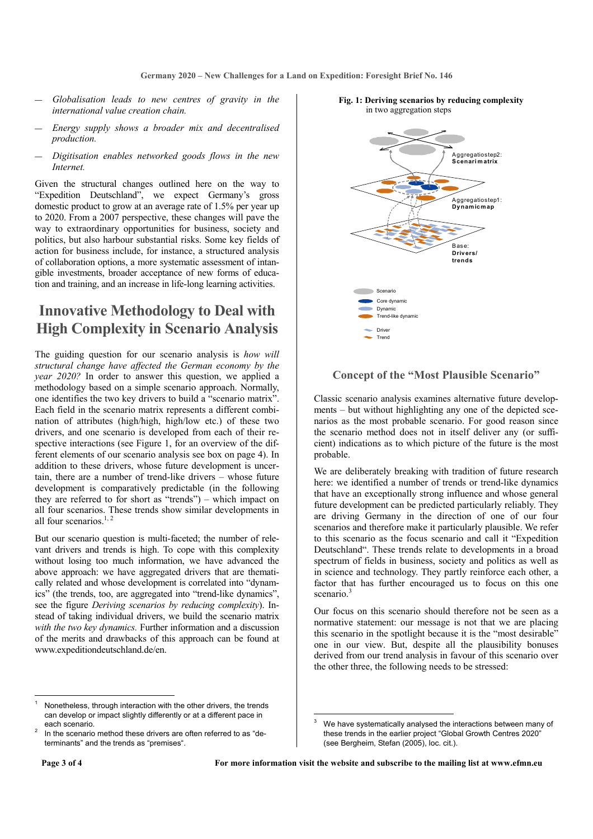- ― *Globalisation leads to new centres of gravity in the international value creation chain.*
- ― *Energy supply shows a broader mix and decentralised production.*
- ― *Digitisation enables networked goods flows in the new Internet.*

Given the structural changes outlined here on the way to "Expedition Deutschland", we expect Germany's gross domestic product to grow at an average rate of 1.5% per year up to 2020. From a 2007 perspective, these changes will pave the way to extraordinary opportunities for business, society and politics, but also harbour substantial risks. Some key fields of action for business include, for instance, a structured analysis of collaboration options, a more systematic assessment of intangible investments, broader acceptance of new forms of education and training, and an increase in life-long learning activities.

### **Innovative Methodology to Deal with High Complexity in Scenario Analysis**

The guiding question for our scenario analysis is *how will structural change have affected the German economy by the year 2020?* In order to answer this question, we applied a methodology based on a simple scenario approach. Normally, one identifies the two key drivers to build a "scenario matrix". Each field in the scenario matrix represents a different combination of attributes (high/high, high/low etc.) of these two drivers, and one scenario is developed from each of their respective interactions (see Figure 1, for an overview of the different elements of our scenario analysis see box on page 4). In addition to these drivers, whose future development is uncertain, there are a number of trend-like drivers – whose future development is comparatively predictable (in the following they are referred to for short as "trends") – which impact on all four scenarios. These trends show similar developments in all four scenarios. $1, 2$ 

But our scenario question is multi-faceted; the number of relevant drivers and trends is high. To cope with this complexity without losing too much information, we have advanced the above approach: we have aggregated drivers that are thematically related and whose development is correlated into "dynamics" (the trends, too, are aggregated into "trend-like dynamics", see the figure *Deriving scenarios by reducing complexity*). Instead of taking individual drivers, we build the scenario matrix *with the two key dynamics.* Further information and a discussion of the merits and drawbacks of this approach can be found at www.expeditiondeutschland.de/en.



#### **Fig. 1: Deriving scenarios by reducing complexity** in two aggregation steps

### **Concept of the "Most Plausible Scenario"**

Classic scenario analysis examines alternative future developments – but without highlighting any one of the depicted scenarios as the most probable scenario. For good reason since the scenario method does not in itself deliver any (or sufficient) indications as to which picture of the future is the most probable.

We are deliberately breaking with tradition of future research here: we identified a number of trends or trend-like dynamics that have an exceptionally strong influence and whose general future development can be predicted particularly reliably. They are driving Germany in the direction of one of our four scenarios and therefore make it particularly plausible. We refer to this scenario as the focus scenario and call it "Expedition Deutschland". These trends relate to developments in a broad spectrum of fields in business, society and politics as well as in science and technology. They partly reinforce each other, a factor that has further encouraged us to focus on this one scenario<sup>3</sup>

Our focus on this scenario should therefore not be seen as a normative statement: our message is not that we are placing this scenario in the spotlight because it is the "most desirable" one in our view. But, despite all the plausibility bonuses derived from our trend analysis in favour of this scenario over the other three, the following needs to be stressed:

l

<sup>1</sup> Nonetheless, through interaction with the other drivers, the trends can develop or impact slightly differently or at a different pace in each scenario.

In the scenario method these drivers are often referred to as "determinants" and the trends as "premises".

<sup>3</sup> We have systematically analysed the interactions between many of these trends in the earlier project "Global Growth Centres 2020" (see Bergheim, Stefan (2005), loc. cit.).